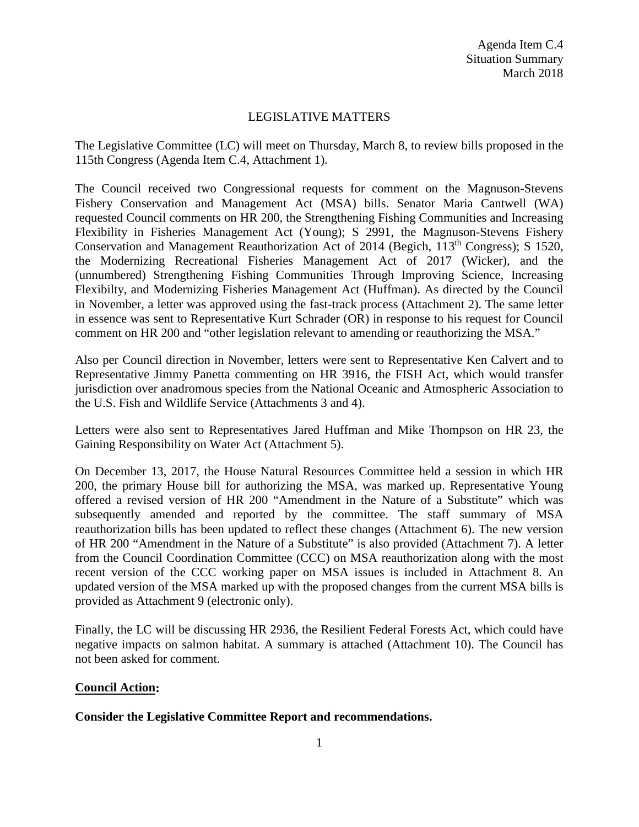# LEGISLATIVE MATTERS

The Legislative Committee (LC) will meet on Thursday, March 8, to review bills proposed in the 115th Congress (Agenda Item C.4, Attachment 1).

The Council received two Congressional requests for comment on the Magnuson-Stevens Fishery Conservation and Management Act (MSA) bills. Senator Maria Cantwell (WA) requested Council comments on HR 200, the Strengthening Fishing Communities and Increasing Flexibility in Fisheries Management Act (Young); S 2991, the Magnuson-Stevens Fishery Conservation and Management Reauthorization Act of 2014 (Begich, 113<sup>th</sup> Congress); S 1520, the Modernizing Recreational Fisheries Management Act of 2017 (Wicker), and the (unnumbered) Strengthening Fishing Communities Through Improving Science, Increasing Flexibilty, and Modernizing Fisheries Management Act (Huffman). As directed by the Council in November, a letter was approved using the fast-track process (Attachment 2). The same letter in essence was sent to Representative Kurt Schrader (OR) in response to his request for Council comment on HR 200 and "other legislation relevant to amending or reauthorizing the MSA."

Also per Council direction in November, letters were sent to Representative Ken Calvert and to Representative Jimmy Panetta commenting on HR 3916, the FISH Act, which would transfer jurisdiction over anadromous species from the National Oceanic and Atmospheric Association to the U.S. Fish and Wildlife Service (Attachments 3 and 4).

Letters were also sent to Representatives Jared Huffman and Mike Thompson on HR 23, the Gaining Responsibility on Water Act (Attachment 5).

On December 13, 2017, the House Natural Resources Committee held a session in which HR 200, the primary House bill for authorizing the MSA, was marked up. Representative Young offered a revised version of HR 200 "Amendment in the Nature of a Substitute" which was subsequently amended and reported by the committee. The staff summary of MSA reauthorization bills has been updated to reflect these changes (Attachment 6). The new version of HR 200 "Amendment in the Nature of a Substitute" is also provided (Attachment 7). A letter from the Council Coordination Committee (CCC) on MSA reauthorization along with the most recent version of the CCC working paper on MSA issues is included in Attachment 8. An updated version of the MSA marked up with the proposed changes from the current MSA bills is provided as Attachment 9 (electronic only).

Finally, the LC will be discussing HR 2936, the Resilient Federal Forests Act, which could have negative impacts on salmon habitat. A summary is attached (Attachment 10). The Council has not been asked for comment.

## **Council Action:**

## **Consider the Legislative Committee Report and recommendations.**